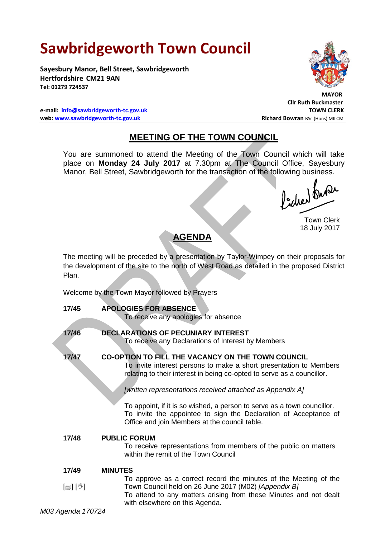# **Sawbridgeworth Town Council**

**Sayesbury Manor, Bell Street, Sawbridgeworth Hertfordshire CM21 9AN Tel: 01279 724537**

**e-mail: [info@sawbridgeworth-tc.gov.uk](mailto:info@sawbridgeworth-tc.gov.uk) TOWN CLERK web: www.sawbridgeworth-tc.gov.uk and Bowran BSc.(Hons) MILCM Richard Bowran BSc.(Hons) MILCM** 

 **MAYOR Cllr Ruth Buckmaster**

## **MEETING OF THE TOWN COUNCIL**

You are summoned to attend the Meeting of the Town Council which will take place on **Monday 24 July 2017** at 7.30pm at The Council Office, Sayesbury Manor, Bell Street, Sawbridgeworth for the transaction of the following business.

Picked fune

Town Clerk 18 July 2017

### **AGENDA**

The meeting will be preceded by a presentation by Taylor-Wimpey on their proposals for the development of the site to the north of West Road as detailed in the proposed District Plan.

Welcome by the Town Mayor followed by Prayers

| 17/45   | <b>APOLOGIES FOR ABSENCE</b><br>To receive any apologies for absence                                                                                                                                                                                                                                                                                                                                                                                                  |
|---------|-----------------------------------------------------------------------------------------------------------------------------------------------------------------------------------------------------------------------------------------------------------------------------------------------------------------------------------------------------------------------------------------------------------------------------------------------------------------------|
| 17/46   | <b>DECLARATIONS OF PECUNIARY INTEREST</b><br>To receive any Declarations of Interest by Members                                                                                                                                                                                                                                                                                                                                                                       |
| 17/47   | <b>CO-OPTION TO FILL THE VACANCY ON THE TOWN COUNCIL</b><br>To invite interest persons to make a short presentation to Members<br>relating to their interest in being co-opted to serve as a councillor.<br>[written representations received attached as Appendix A]<br>To appoint, if it is so wished, a person to serve as a town councillor.<br>To invite the appointee to sign the Declaration of Acceptance of<br>Office and join Members at the council table. |
| 17/48   | <b>PUBLIC FORUM</b><br>To receive representations from members of the public on matters<br>within the remit of the Town Council                                                                                                                                                                                                                                                                                                                                       |
| 17/49   | <b>MINUTES</b>                                                                                                                                                                                                                                                                                                                                                                                                                                                        |
| [@] [V] | To approve as a correct record the minutes of the Meeting of the<br>Town Council held on 26 June 2017 (M02) [Appendix B]<br>To attend to any matters arising from these Minutes and not dealt<br>with elsewhere on this Agenda.                                                                                                                                                                                                                                       |

*M03 Agenda 170724*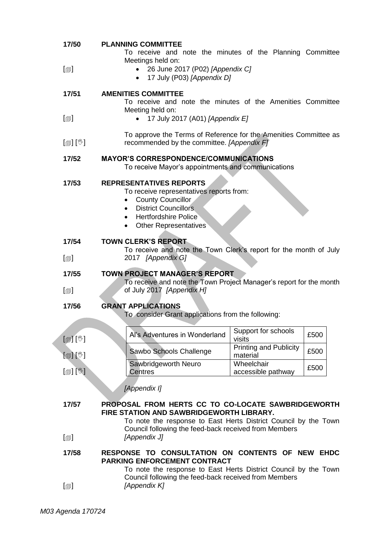| 17/50                         | <b>PLANNING COMMITTEE</b><br>To receive and note the minutes of the Planning Committee                                                                                                                                     |                                           |      |
|-------------------------------|----------------------------------------------------------------------------------------------------------------------------------------------------------------------------------------------------------------------------|-------------------------------------------|------|
| $[\blacksquare]$              | Meetings held on:<br>26 June 2017 (P02) [Appendix C]<br>17 July (P03) [Appendix D]<br>$\bullet$                                                                                                                            |                                           |      |
| 17/51                         | <b>AMENITIES COMMITTEE</b><br>To receive and note the minutes of the Amenities Committee                                                                                                                                   |                                           |      |
| $[\blacksquare]$              | Meeting held on:<br>17 July 2017 (A01) [Appendix E]                                                                                                                                                                        |                                           |      |
| $\mathbb{D}[\mathbb{D}^1]$    | To approve the Terms of Reference for the Amenities Committee as<br>recommended by the committee. [Appendix F]                                                                                                             |                                           |      |
| 17/52                         | <b>MAYOR'S CORRESPONDENCE/COMMUNICATIONS</b><br>To receive Mayor's appointments and communications                                                                                                                         |                                           |      |
| 17/53                         | <b>REPRESENTATIVES REPORTS</b><br>To receive representatives reports from:<br><b>County Councillor</b><br><b>District Councillors</b><br>$\bullet$<br><b>Hertfordshire Police</b><br><b>Other Representatives</b>          |                                           |      |
| 17/54                         | <b>TOWN CLERK'S REPORT</b>                                                                                                                                                                                                 |                                           |      |
| $\lbrack \oplus \rbrack$      | To receive and note the Town Clerk's report for the month of July<br>2017 [Appendix G]                                                                                                                                     |                                           |      |
|                               | <b>TOWN PROJECT MANAGER'S REPORT</b>                                                                                                                                                                                       |                                           |      |
| 17/55                         |                                                                                                                                                                                                                            |                                           |      |
| $[\blacksquare]$              | To receive and note the Town Project Manager's report for the month<br>of July 2017 [Appendix H]                                                                                                                           |                                           |      |
| 17/56                         | <b>GRANT APPLICATIONS</b><br>To consider Grant applications from the following:                                                                                                                                            |                                           |      |
| $[\mathbb{F}][\mathbb{C}]$    | Al's Adventures in Wonderland                                                                                                                                                                                              | Support for schools<br>visits             | £500 |
| [@] [V]                       | Sawbo Schools Challenge                                                                                                                                                                                                    | <b>Printing and Publicity</b><br>material | £500 |
| $[\mathbb{S}]$ $[\mathbb{S}]$ | Sawbridgeworth Neuro<br><b>Centres</b>                                                                                                                                                                                     | Wheelchair<br>accessible pathway          | £500 |
|                               | [Appendix I]                                                                                                                                                                                                               |                                           |      |
| 17/57                         | PROPOSAL FROM HERTS CC TO CO-LOCATE SAWBRIDGEWORTH<br>FIRE STATION AND SAWBRIDGEWORTH LIBRARY.<br>To note the response to East Herts District Council by the Town<br>Council following the feed-back received from Members |                                           |      |
| $\textsf{[}$                  | [Appendix J]                                                                                                                                                                                                               |                                           |      |
| 17/58                         | RESPONSE TO CONSULTATION ON CONTENTS OF NEW EHDC<br>PARKING ENFORCEMENT CONTRACT<br>To note the response to East Herts District Council by the Town<br>Council following the feed-back received from Members               |                                           |      |